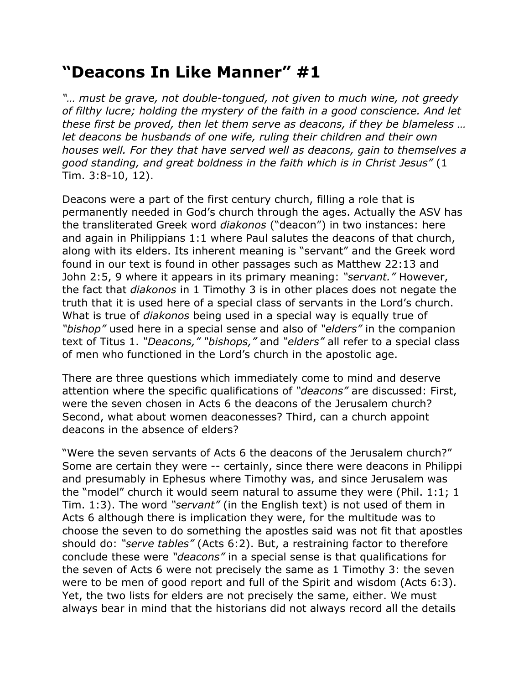## **"Deacons In Like Manner" #1**

*"… must be grave, not double-tongued, not given to much wine, not greedy of filthy lucre; holding the mystery of the faith in a good conscience. And let these first be proved, then let them serve as deacons, if they be blameless … let deacons be husbands of one wife, ruling their children and their own houses well. For they that have served well as deacons, gain to themselves a good standing, and great boldness in the faith which is in Christ Jesus"* (1 Tim. 3:8-10, 12).

Deacons were a part of the first century church, filling a role that is permanently needed in God's church through the ages. Actually the ASV has the transliterated Greek word *diakonos* ("deacon") in two instances: here and again in Philippians 1:1 where Paul salutes the deacons of that church, along with its elders. Its inherent meaning is "servant" and the Greek word found in our text is found in other passages such as Matthew 22:13 and John 2:5, 9 where it appears in its primary meaning: *"servant."* However, the fact that *diakonos* in 1 Timothy 3 is in other places does not negate the truth that it is used here of a special class of servants in the Lord's church. What is true of *diakonos* being used in a special way is equally true of *"bishop"* used here in a special sense and also of *"elders"* in the companion text of Titus 1. *"Deacons," "bishops,"* and *"elders"* all refer to a special class of men who functioned in the Lord's church in the apostolic age.

There are three questions which immediately come to mind and deserve attention where the specific qualifications of *"deacons"* are discussed: First, were the seven chosen in Acts 6 the deacons of the Jerusalem church? Second, what about women deaconesses? Third, can a church appoint deacons in the absence of elders?

"Were the seven servants of Acts 6 the deacons of the Jerusalem church?" Some are certain they were -- certainly, since there were deacons in Philippi and presumably in Ephesus where Timothy was, and since Jerusalem was the "model" church it would seem natural to assume they were (Phil. 1:1; 1 Tim. 1:3). The word *"servant"* (in the English text) is not used of them in Acts 6 although there is implication they were, for the multitude was to choose the seven to do something the apostles said was not fit that apostles should do: *"serve tables"* (Acts 6:2). But, a restraining factor to therefore conclude these were *"deacons"* in a special sense is that qualifications for the seven of Acts 6 were not precisely the same as 1 Timothy 3: the seven were to be men of good report and full of the Spirit and wisdom (Acts 6:3). Yet, the two lists for elders are not precisely the same, either. We must always bear in mind that the historians did not always record all the details